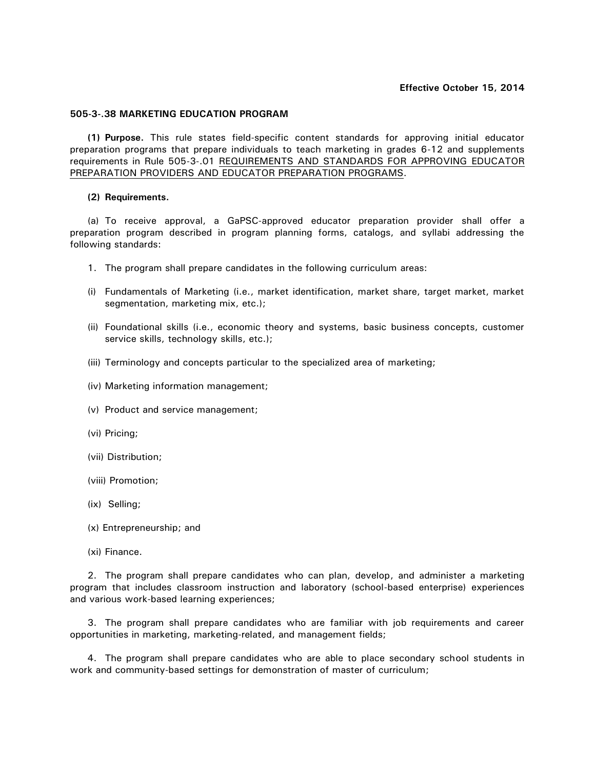## **Effective October 15, 2014**

## **505-3-.38 MARKETING EDUCATION PROGRAM**

**(1) Purpose.** This rule states field-specific content standards for approving initial educator preparation programs that prepare individuals to teach marketing in grades 6-12 and supplements requirements in Rule 505-3-.01 REQUIREMENTS AND STANDARDS FOR APPROVING EDUCATOR PREPARATION PROVIDERS AND EDUCATOR PREPARATION PROGRAMS.

## **(2) Requirements.**

(a) To receive approval, a GaPSC-approved educator preparation provider shall offer a preparation program described in program planning forms, catalogs, and syllabi addressing the following standards:

- 1. The program shall prepare candidates in the following curriculum areas:
- (i) Fundamentals of Marketing (i.e., market identification, market share, target market, market segmentation, marketing mix, etc.);
- (ii) Foundational skills (i.e., economic theory and systems, basic business concepts, customer service skills, technology skills, etc.);
- (iii) Terminology and concepts particular to the specialized area of marketing;
- (iv) Marketing information management;
- (v) Product and service management;
- (vi) Pricing;
- (vii) Distribution;
- (viii) Promotion;
- (ix) Selling;
- (x) Entrepreneurship; and
- (xi) Finance.

2. The program shall prepare candidates who can plan, develop, and administer a marketing program that includes classroom instruction and laboratory (school-based enterprise) experiences and various work-based learning experiences;

3. The program shall prepare candidates who are familiar with job requirements and career opportunities in marketing, marketing-related, and management fields;

4. The program shall prepare candidates who are able to place secondary school students in work and community-based settings for demonstration of master of curriculum;